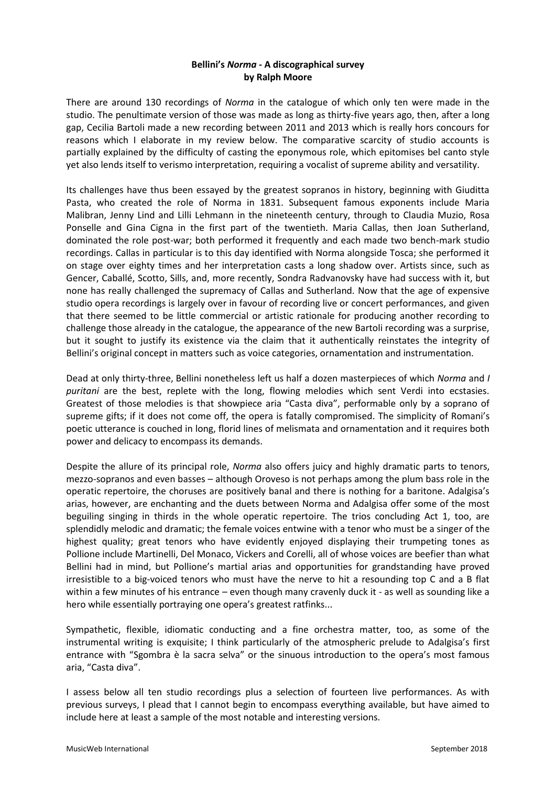## **Bellini's** *Norma* **- A discographical survey by Ralph Moore**

There are around 130 recordings of *Norma* in the catalogue of which only ten were made in the studio. The penultimate version of those was made as long as thirty-five years ago, then, after a long gap, Cecilia Bartoli made a new recording between 2011 and 2013 which is really hors concours for reasons which I elaborate in my review below. The comparative scarcity of studio accounts is partially explained by the difficulty of casting the eponymous role, which epitomises bel canto style yet also lends itself to verismo interpretation, requiring a vocalist of supreme ability and versatility.

Its challenges have thus been essayed by the greatest sopranos in history, beginning with Giuditta Pasta, who created the role of Norma in 1831. Subsequent famous exponents include Maria Malibran, Jenny Lind and Lilli Lehmann in the nineteenth century, through to Claudia Muzio, Rosa Ponselle and Gina Cigna in the first part of the twentieth. Maria Callas, then Joan Sutherland, dominated the role post-war; both performed it frequently and each made two bench-mark studio recordings. Callas in particular is to this day identified with Norma alongside Tosca; she performed it on stage over eighty times and her interpretation casts a long shadow over. Artists since, such as Gencer, Caballé, Scotto, Sills, and, more recently, Sondra Radvanovsky have had success with it, but none has really challenged the supremacy of Callas and Sutherland. Now that the age of expensive studio opera recordings is largely over in favour of recording live or concert performances, and given that there seemed to be little commercial or artistic rationale for producing another recording to challenge those already in the catalogue, the appearance of the new Bartoli recording was a surprise, but it sought to justify its existence via the claim that it authentically reinstates the integrity of Bellini's original concept in matters such as voice categories, ornamentation and instrumentation.

Dead at only thirty-three, Bellini nonetheless left us half a dozen masterpieces of which *Norma* and *I puritani* are the best, replete with the long, flowing melodies which sent Verdi into ecstasies. Greatest of those melodies is that showpiece aria "Casta diva", performable only by a soprano of supreme gifts; if it does not come off, the opera is fatally compromised. The simplicity of Romani's poetic utterance is couched in long, florid lines of melismata and ornamentation and it requires both power and delicacy to encompass its demands.

Despite the allure of its principal role, *Norma* also offers juicy and highly dramatic parts to tenors, mezzo-sopranos and even basses – although Oroveso is not perhaps among the plum bass role in the operatic repertoire, the choruses are positively banal and there is nothing for a baritone. Adalgisa's arias, however, are enchanting and the duets between Norma and Adalgisa offer some of the most beguiling singing in thirds in the whole operatic repertoire. The trios concluding Act 1, too, are splendidly melodic and dramatic; the female voices entwine with a tenor who must be a singer of the highest quality; great tenors who have evidently enjoyed displaying their trumpeting tones as Pollione include Martinelli, Del Monaco, Vickers and Corelli, all of whose voices are beefier than what Bellini had in mind, but Pollione's martial arias and opportunities for grandstanding have proved irresistible to a big-voiced tenors who must have the nerve to hit a resounding top C and a B flat within a few minutes of his entrance – even though many cravenly duck it - as well as sounding like a hero while essentially portraying one opera's greatest ratfinks...

Sympathetic, flexible, idiomatic conducting and a fine orchestra matter, too, as some of the instrumental writing is exquisite; I think particularly of the atmospheric prelude to Adalgisa's first entrance with "Sgombra è la sacra selva" or the sinuous introduction to the opera's most famous aria, "Casta diva".

I assess below all ten studio recordings plus a selection of fourteen live performances. As with previous surveys, I plead that I cannot begin to encompass everything available, but have aimed to include here at least a sample of the most notable and interesting versions.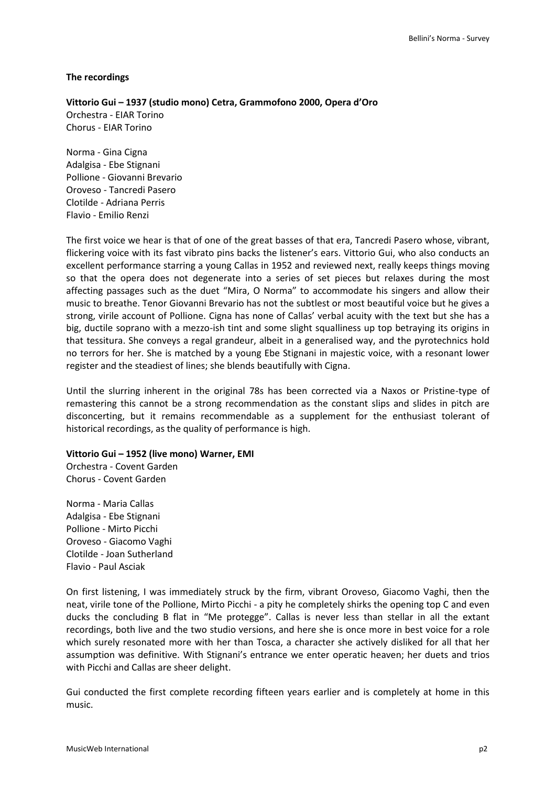#### **The recordings**

#### **Vittorio Gui – 1937 (studio mono) Cetra, Grammofono 2000, Opera d'Oro**

Orchestra - EIAR Torino Chorus - EIAR Torino

Norma - Gina Cigna Adalgisa - Ebe Stignani Pollione - Giovanni Brevario Oroveso - Tancredi Pasero Clotilde - Adriana Perris Flavio - Emilio Renzi

The first voice we hear is that of one of the great basses of that era, Tancredi Pasero whose, vibrant, flickering voice with its fast vibrato pins backs the listener's ears. Vittorio Gui, who also conducts an excellent performance starring a young Callas in 1952 and reviewed next, really keeps things moving so that the opera does not degenerate into a series of set pieces but relaxes during the most affecting passages such as the duet "Mira, O Norma" to accommodate his singers and allow their music to breathe. Tenor Giovanni Brevario has not the subtlest or most beautiful voice but he gives a strong, virile account of Pollione. Cigna has none of Callas' verbal acuity with the text but she has a big, ductile soprano with a mezzo-ish tint and some slight squalliness up top betraying its origins in that tessitura. She conveys a regal grandeur, albeit in a generalised way, and the pyrotechnics hold no terrors for her. She is matched by a young Ebe Stignani in majestic voice, with a resonant lower register and the steadiest of lines; she blends beautifully with Cigna.

Until the slurring inherent in the original 78s has been corrected via a Naxos or Pristine-type of remastering this cannot be a strong recommendation as the constant slips and slides in pitch are disconcerting, but it remains recommendable as a supplement for the enthusiast tolerant of historical recordings, as the quality of performance is high.

#### **Vittorio Gui – 1952 (live mono) Warner, EMI**

Orchestra - Covent Garden Chorus - Covent Garden

Norma - Maria Callas Adalgisa - Ebe Stignani Pollione - Mirto Picchi Oroveso - Giacomo Vaghi Clotilde - Joan Sutherland Flavio - Paul Asciak

On first listening, I was immediately struck by the firm, vibrant Oroveso, Giacomo Vaghi, then the neat, virile tone of the Pollione, Mirto Picchi - a pity he completely shirks the opening top C and even ducks the concluding B flat in "Me protegge". Callas is never less than stellar in all the extant recordings, both live and the two studio versions, and here she is once more in best voice for a role which surely resonated more with her than Tosca, a character she actively disliked for all that her assumption was definitive. With Stignani's entrance we enter operatic heaven; her duets and trios with Picchi and Callas are sheer delight.

Gui conducted the first complete recording fifteen years earlier and is completely at home in this music.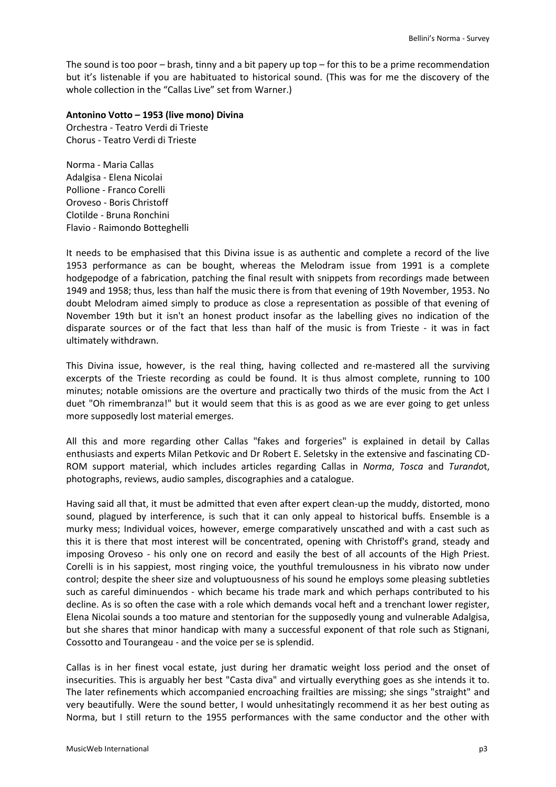The sound is too poor – brash, tinny and a bit papery up top – for this to be a prime recommendation but it's listenable if you are habituated to historical sound. (This was for me the discovery of the whole collection in the "Callas Live" set from Warner.)

## **Antonino Votto – 1953 (live mono) Divina**

Orchestra - Teatro Verdi di Trieste Chorus - Teatro Verdi di Trieste

Norma - Maria Callas Adalgisa - Elena Nicolai Pollione - Franco Corelli Oroveso - Boris Christoff Clotilde - Bruna Ronchini Flavio - Raimondo Botteghelli

It needs to be emphasised that this Divina issue is as authentic and complete a record of the live 1953 performance as can be bought, whereas the Melodram issue from 1991 is a complete hodgepodge of a fabrication, patching the final result with snippets from recordings made between 1949 and 1958; thus, less than half the music there is from that evening of 19th November, 1953. No doubt Melodram aimed simply to produce as close a representation as possible of that evening of November 19th but it isn't an honest product insofar as the labelling gives no indication of the disparate sources or of the fact that less than half of the music is from Trieste - it was in fact ultimately withdrawn.

This Divina issue, however, is the real thing, having collected and re-mastered all the surviving excerpts of the Trieste recording as could be found. It is thus almost complete, running to 100 minutes; notable omissions are the overture and practically two thirds of the music from the Act I duet "Oh rimembranza!" but it would seem that this is as good as we are ever going to get unless more supposedly lost material emerges.

All this and more regarding other Callas "fakes and forgeries" is explained in detail by Callas enthusiasts and experts Milan Petkovic and Dr Robert E. Seletsky in the extensive and fascinating CD-ROM support material, which includes articles regarding Callas in *Norma*, *Tosca* and *Turando*t, photographs, reviews, audio samples, discographies and a catalogue.

Having said all that, it must be admitted that even after expert clean-up the muddy, distorted, mono sound, plagued by interference, is such that it can only appeal to historical buffs. Ensemble is a murky mess; Individual voices, however, emerge comparatively unscathed and with a cast such as this it is there that most interest will be concentrated, opening with Christoff's grand, steady and imposing Oroveso - his only one on record and easily the best of all accounts of the High Priest. Corelli is in his sappiest, most ringing voice, the youthful tremulousness in his vibrato now under control; despite the sheer size and voluptuousness of his sound he employs some pleasing subtleties such as careful diminuendos - which became his trade mark and which perhaps contributed to his decline. As is so often the case with a role which demands vocal heft and a trenchant lower register, Elena Nicolai sounds a too mature and stentorian for the supposedly young and vulnerable Adalgisa, but she shares that minor handicap with many a successful exponent of that role such as Stignani, Cossotto and Tourangeau - and the voice per se is splendid.

Callas is in her finest vocal estate, just during her dramatic weight loss period and the onset of insecurities. This is arguably her best "Casta diva" and virtually everything goes as she intends it to. The later refinements which accompanied encroaching frailties are missing; she sings "straight" and very beautifully. Were the sound better, I would unhesitatingly recommend it as her best outing as Norma, but I still return to the 1955 performances with the same conductor and the other with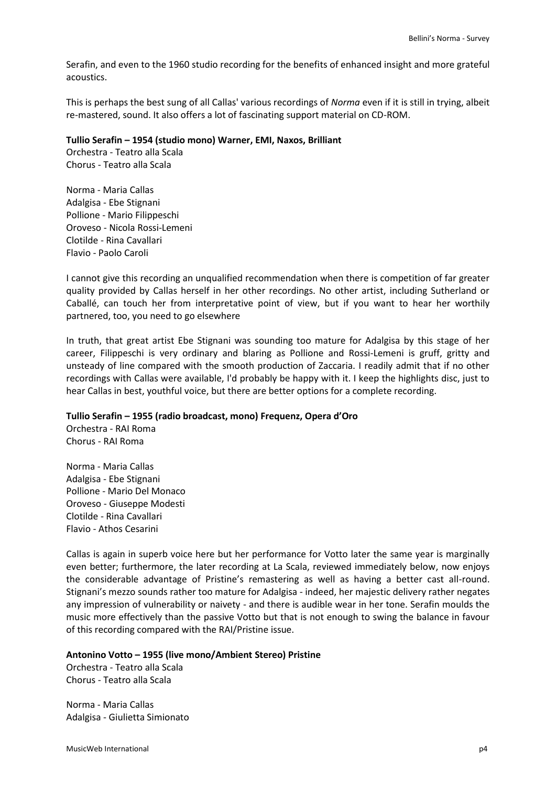Serafin, and even to the 1960 studio recording for the benefits of enhanced insight and more grateful acoustics.

This is perhaps the best sung of all Callas' various recordings of *Norma* even if it is still in trying, albeit re-mastered, sound. It also offers a lot of fascinating support material on CD-ROM.

#### **Tullio Serafin – 1954 (studio mono) Warner, EMI, Naxos, Brilliant**

Orchestra - Teatro alla Scala Chorus - Teatro alla Scala

Norma - Maria Callas Adalgisa - Ebe Stignani Pollione - Mario Filippeschi Oroveso - Nicola Rossi-Lemeni Clotilde - Rina Cavallari Flavio - Paolo Caroli

I cannot give this recording an unqualified recommendation when there is competition of far greater quality provided by Callas herself in her other recordings. No other artist, including Sutherland or Caballé, can touch her from interpretative point of view, but if you want to hear her worthily partnered, too, you need to go elsewhere

In truth, that great artist Ebe Stignani was sounding too mature for Adalgisa by this stage of her career, Filippeschi is very ordinary and blaring as Pollione and Rossi-Lemeni is gruff, gritty and unsteady of line compared with the smooth production of Zaccaria. I readily admit that if no other recordings with Callas were available, I'd probably be happy with it. I keep the highlights disc, just to hear Callas in best, youthful voice, but there are better options for a complete recording.

## **Tullio Serafin – 1955 (radio broadcast, mono) Frequenz, Opera d'Oro**

Orchestra - RAI Roma Chorus - RAI Roma

Norma - Maria Callas Adalgisa - Ebe Stignani Pollione - Mario Del Monaco Oroveso - Giuseppe Modesti Clotilde - Rina Cavallari Flavio - Athos Cesarini

Callas is again in superb voice here but her performance for Votto later the same year is marginally even better; furthermore, the later recording at La Scala, reviewed immediately below, now enjoys the considerable advantage of Pristine's remastering as well as having a better cast all-round. Stignani's mezzo sounds rather too mature for Adalgisa - indeed, her majestic delivery rather negates any impression of vulnerability or naivety - and there is audible wear in her tone. Serafin moulds the music more effectively than the passive Votto but that is not enough to swing the balance in favour of this recording compared with the RAI/Pristine issue.

#### **Antonino Votto – 1955 (live mono/Ambient Stereo) Pristine**

Orchestra - Teatro alla Scala Chorus - Teatro alla Scala

Norma - Maria Callas Adalgisa - Giulietta Simionato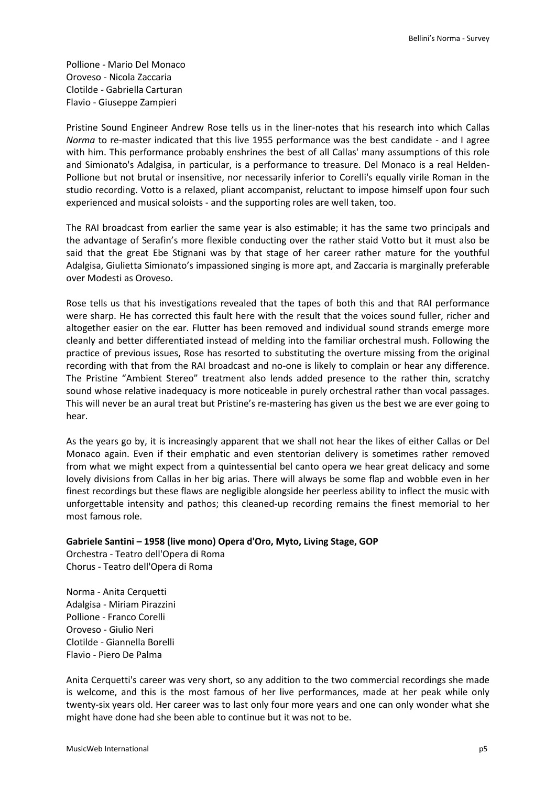Pollione - Mario Del Monaco Oroveso - Nicola Zaccaria Clotilde - Gabriella Carturan Flavio - Giuseppe Zampieri

Pristine Sound Engineer Andrew Rose tells us in the liner-notes that his research into which Callas *Norma* to re-master indicated that this live 1955 performance was the best candidate - and I agree with him. This performance probably enshrines the best of all Callas' many assumptions of this role and Simionato's Adalgisa, in particular, is a performance to treasure. Del Monaco is a real Helden-Pollione but not brutal or insensitive, nor necessarily inferior to Corelli's equally virile Roman in the studio recording. Votto is a relaxed, pliant accompanist, reluctant to impose himself upon four such experienced and musical soloists - and the supporting roles are well taken, too.

The RAI broadcast from earlier the same year is also estimable; it has the same two principals and the advantage of Serafin's more flexible conducting over the rather staid Votto but it must also be said that the great Ebe Stignani was by that stage of her career rather mature for the youthful Adalgisa, Giulietta Simionato's impassioned singing is more apt, and Zaccaria is marginally preferable over Modesti as Oroveso.

Rose tells us that his investigations revealed that the tapes of both this and that RAI performance were sharp. He has corrected this fault here with the result that the voices sound fuller, richer and altogether easier on the ear. Flutter has been removed and individual sound strands emerge more cleanly and better differentiated instead of melding into the familiar orchestral mush. Following the practice of previous issues, Rose has resorted to substituting the overture missing from the original recording with that from the RAI broadcast and no-one is likely to complain or hear any difference. The Pristine "Ambient Stereo" treatment also lends added presence to the rather thin, scratchy sound whose relative inadequacy is more noticeable in purely orchestral rather than vocal passages. This will never be an aural treat but Pristine's re-mastering has given us the best we are ever going to hear.

As the years go by, it is increasingly apparent that we shall not hear the likes of either Callas or Del Monaco again. Even if their emphatic and even stentorian delivery is sometimes rather removed from what we might expect from a quintessential bel canto opera we hear great delicacy and some lovely divisions from Callas in her big arias. There will always be some flap and wobble even in her finest recordings but these flaws are negligible alongside her peerless ability to inflect the music with unforgettable intensity and pathos; this cleaned-up recording remains the finest memorial to her most famous role.

## **Gabriele Santini – 1958 (live mono) Opera d'Oro, Myto, Living Stage, GOP**

Orchestra - Teatro dell'Opera di Roma Chorus - Teatro dell'Opera di Roma

Norma - Anita Cerquetti Adalgisa - Miriam Pirazzini Pollione - Franco Corelli Oroveso - Giulio Neri Clotilde - Giannella Borelli Flavio - Piero De Palma

Anita Cerquetti's career was very short, so any addition to the two commercial recordings she made is welcome, and this is the most famous of her live performances, made at her peak while only twenty-six years old. Her career was to last only four more years and one can only wonder what she might have done had she been able to continue but it was not to be.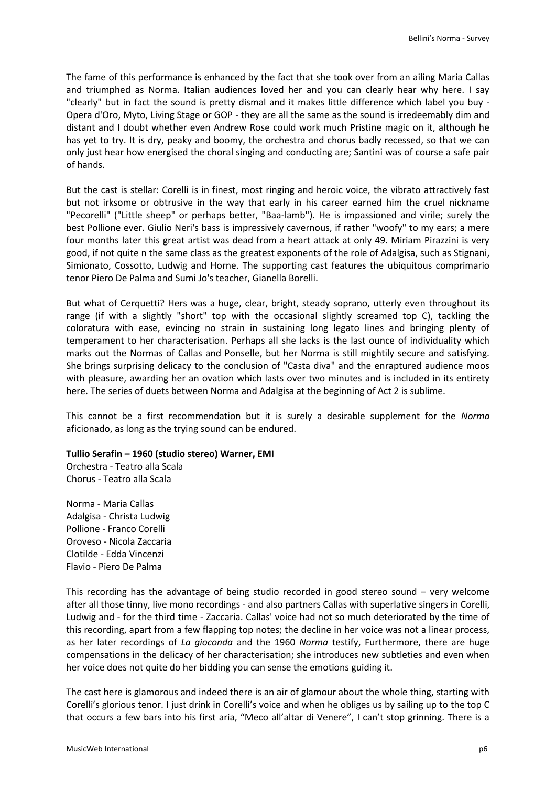The fame of this performance is enhanced by the fact that she took over from an ailing Maria Callas and triumphed as Norma. Italian audiences loved her and you can clearly hear why here. I say "clearly" but in fact the sound is pretty dismal and it makes little difference which label you buy - Opera d'Oro, Myto, Living Stage or GOP - they are all the same as the sound is irredeemably dim and distant and I doubt whether even Andrew Rose could work much Pristine magic on it, although he has yet to try. It is dry, peaky and boomy, the orchestra and chorus badly recessed, so that we can only just hear how energised the choral singing and conducting are; Santini was of course a safe pair of hands.

But the cast is stellar: Corelli is in finest, most ringing and heroic voice, the vibrato attractively fast but not irksome or obtrusive in the way that early in his career earned him the cruel nickname "Pecorelli" ("Little sheep" or perhaps better, "Baa-lamb"). He is impassioned and virile; surely the best Pollione ever. Giulio Neri's bass is impressively cavernous, if rather "woofy" to my ears; a mere four months later this great artist was dead from a heart attack at only 49. Miriam Pirazzini is very good, if not quite n the same class as the greatest exponents of the role of Adalgisa, such as Stignani, Simionato, Cossotto, Ludwig and Horne. The supporting cast features the ubiquitous comprimario tenor Piero De Palma and Sumi Jo's teacher, Gianella Borelli.

But what of Cerquetti? Hers was a huge, clear, bright, steady soprano, utterly even throughout its range (if with a slightly "short" top with the occasional slightly screamed top C), tackling the coloratura with ease, evincing no strain in sustaining long legato lines and bringing plenty of temperament to her characterisation. Perhaps all she lacks is the last ounce of individuality which marks out the Normas of Callas and Ponselle, but her Norma is still mightily secure and satisfying. She brings surprising delicacy to the conclusion of "Casta diva" and the enraptured audience moos with pleasure, awarding her an ovation which lasts over two minutes and is included in its entirety here. The series of duets between Norma and Adalgisa at the beginning of Act 2 is sublime.

This cannot be a first recommendation but it is surely a desirable supplement for the *Norma*  aficionado, as long as the trying sound can be endured.

## **Tullio Serafin – 1960 (studio stereo) Warner, EMI**

Orchestra - Teatro alla Scala Chorus - Teatro alla Scala

Norma - Maria Callas Adalgisa - Christa Ludwig Pollione - Franco Corelli Oroveso - Nicola Zaccaria Clotilde - Edda Vincenzi Flavio - Piero De Palma

This recording has the advantage of being studio recorded in good stereo sound – very welcome after all those tinny, live mono recordings - and also partners Callas with superlative singers in Corelli, Ludwig and - for the third time - Zaccaria. Callas' voice had not so much deteriorated by the time of this recording, apart from a few flapping top notes; the decline in her voice was not a linear process, as her later recordings of *La gioconda* and the 1960 *Norma* testify, Furthermore, there are huge compensations in the delicacy of her characterisation; she introduces new subtleties and even when her voice does not quite do her bidding you can sense the emotions guiding it.

The cast here is glamorous and indeed there is an air of glamour about the whole thing, starting with Corelli's glorious tenor. I just drink in Corelli's voice and when he obliges us by sailing up to the top C that occurs a few bars into his first aria, "Meco all'altar di Venere", I can't stop grinning. There is a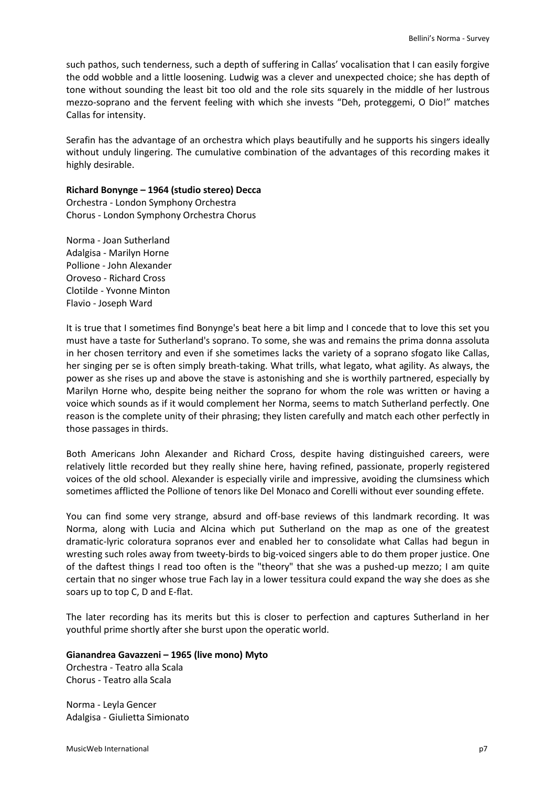such pathos, such tenderness, such a depth of suffering in Callas' vocalisation that I can easily forgive the odd wobble and a little loosening. Ludwig was a clever and unexpected choice; she has depth of tone without sounding the least bit too old and the role sits squarely in the middle of her lustrous mezzo-soprano and the fervent feeling with which she invests "Deh, proteggemi, O Dio!" matches Callas for intensity.

Serafin has the advantage of an orchestra which plays beautifully and he supports his singers ideally without unduly lingering. The cumulative combination of the advantages of this recording makes it highly desirable.

#### **Richard Bonynge – 1964 (studio stereo) Decca**

Orchestra - London Symphony Orchestra Chorus - London Symphony Orchestra Chorus

Norma - Joan Sutherland Adalgisa - Marilyn Horne Pollione - John Alexander Oroveso - Richard Cross Clotilde - Yvonne Minton Flavio - Joseph Ward

It is true that I sometimes find Bonynge's beat here a bit limp and I concede that to love this set you must have a taste for Sutherland's soprano. To some, she was and remains the prima donna assoluta in her chosen territory and even if she sometimes lacks the variety of a soprano sfogato like Callas, her singing per se is often simply breath-taking. What trills, what legato, what agility. As always, the power as she rises up and above the stave is astonishing and she is worthily partnered, especially by Marilyn Horne who, despite being neither the soprano for whom the role was written or having a voice which sounds as if it would complement her Norma, seems to match Sutherland perfectly. One reason is the complete unity of their phrasing; they listen carefully and match each other perfectly in those passages in thirds.

Both Americans John Alexander and Richard Cross, despite having distinguished careers, were relatively little recorded but they really shine here, having refined, passionate, properly registered voices of the old school. Alexander is especially virile and impressive, avoiding the clumsiness which sometimes afflicted the Pollione of tenors like Del Monaco and Corelli without ever sounding effete.

You can find some very strange, absurd and off-base reviews of this landmark recording. It was Norma, along with Lucia and Alcina which put Sutherland on the map as one of the greatest dramatic-lyric coloratura sopranos ever and enabled her to consolidate what Callas had begun in wresting such roles away from tweety-birds to big-voiced singers able to do them proper justice. One of the daftest things I read too often is the "theory" that she was a pushed-up mezzo; I am quite certain that no singer whose true Fach lay in a lower tessitura could expand the way she does as she soars up to top C, D and E-flat.

The later recording has its merits but this is closer to perfection and captures Sutherland in her youthful prime shortly after she burst upon the operatic world.

## **Gianandrea Gavazzeni – 1965 (live mono) Myto**

Orchestra - Teatro alla Scala Chorus - Teatro alla Scala

Norma - Leyla Gencer Adalgisa - Giulietta Simionato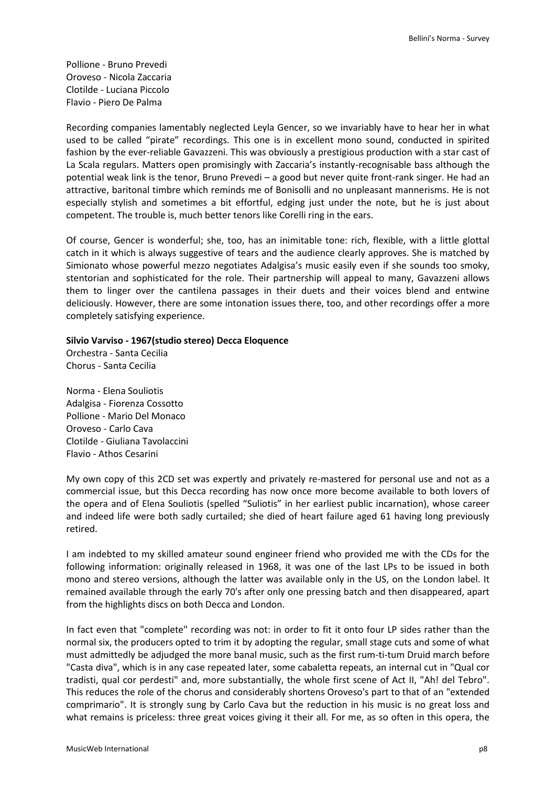Pollione - Bruno Prevedi Oroveso - Nicola Zaccaria Clotilde - Luciana Piccolo Flavio - Piero De Palma

Recording companies lamentably neglected Leyla Gencer, so we invariably have to hear her in what used to be called "pirate" recordings. This one is in excellent mono sound, conducted in spirited fashion by the ever-reliable Gavazzeni. This was obviously a prestigious production with a star cast of La Scala regulars. Matters open promisingly with Zaccaria's instantly-recognisable bass although the potential weak link is the tenor, Bruno Prevedi – a good but never quite front-rank singer. He had an attractive, baritonal timbre which reminds me of Bonisolli and no unpleasant mannerisms. He is not especially stylish and sometimes a bit effortful, edging just under the note, but he is just about competent. The trouble is, much better tenors like Corelli ring in the ears.

Of course, Gencer is wonderful; she, too, has an inimitable tone: rich, flexible, with a little glottal catch in it which is always suggestive of tears and the audience clearly approves. She is matched by Simionato whose powerful mezzo negotiates Adalgisa's music easily even if she sounds too smoky, stentorian and sophisticated for the role. Their partnership will appeal to many, Gavazzeni allows them to linger over the cantilena passages in their duets and their voices blend and entwine deliciously. However, there are some intonation issues there, too, and other recordings offer a more completely satisfying experience.

#### **Silvio Varviso - 1967(studio stereo) Decca Eloquence**

Orchestra - Santa Cecilia Chorus - Santa Cecilia

Norma - Elena Souliotis Adalgisa - Fiorenza Cossotto Pollione - Mario Del Monaco Oroveso - Carlo Cava Clotilde - Giuliana Tavolaccini Flavio - Athos Cesarini

My own copy of this 2CD set was expertly and privately re-mastered for personal use and not as a commercial issue, but this Decca recording has now once more become available to both lovers of the opera and of Elena Souliotis (spelled "Suliotis" in her earliest public incarnation), whose career and indeed life were both sadly curtailed; she died of heart failure aged 61 having long previously retired.

I am indebted to my skilled amateur sound engineer friend who provided me with the CDs for the following information: originally released in 1968, it was one of the last LPs to be issued in both mono and stereo versions, although the latter was available only in the US, on the London label. It remained available through the early 70's after only one pressing batch and then disappeared, apart from the highlights discs on both Decca and London.

In fact even that "complete" recording was not: in order to fit it onto four LP sides rather than the normal six, the producers opted to trim it by adopting the regular, small stage cuts and some of what must admittedly be adjudged the more banal music, such as the first rum-ti-tum Druid march before "Casta diva", which is in any case repeated later, some cabaletta repeats, an internal cut in "Qual cor tradisti, qual cor perdesti" and, more substantially, the whole first scene of Act II, "Ah! del Tebro". This reduces the role of the chorus and considerably shortens Oroveso's part to that of an "extended comprimario". It is strongly sung by Carlo Cava but the reduction in his music is no great loss and what remains is priceless: three great voices giving it their all. For me, as so often in this opera, the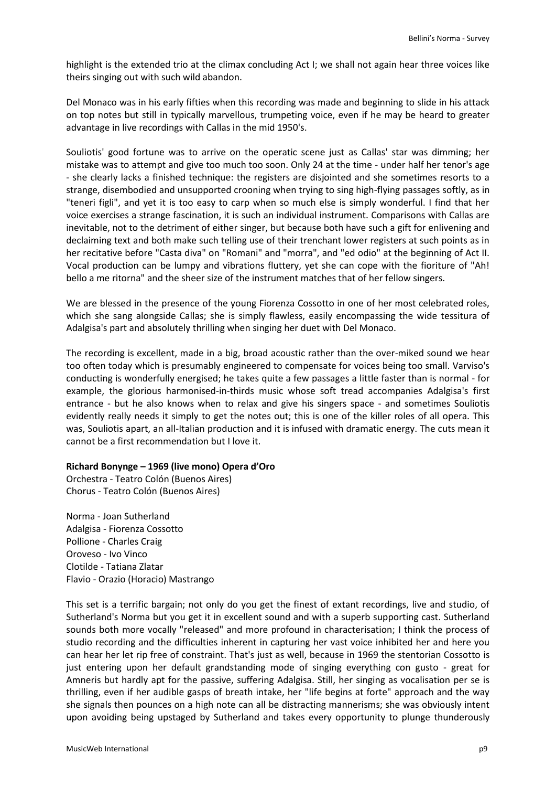highlight is the extended trio at the climax concluding Act I; we shall not again hear three voices like theirs singing out with such wild abandon.

Del Monaco was in his early fifties when this recording was made and beginning to slide in his attack on top notes but still in typically marvellous, trumpeting voice, even if he may be heard to greater advantage in live recordings with Callas in the mid 1950's.

Souliotis' good fortune was to arrive on the operatic scene just as Callas' star was dimming; her mistake was to attempt and give too much too soon. Only 24 at the time - under half her tenor's age - she clearly lacks a finished technique: the registers are disjointed and she sometimes resorts to a strange, disembodied and unsupported crooning when trying to sing high-flying passages softly, as in "teneri figli", and yet it is too easy to carp when so much else is simply wonderful. I find that her voice exercises a strange fascination, it is such an individual instrument. Comparisons with Callas are inevitable, not to the detriment of either singer, but because both have such a gift for enlivening and declaiming text and both make such telling use of their trenchant lower registers at such points as in her recitative before "Casta diva" on "Romani" and "morra", and "ed odio" at the beginning of Act II. Vocal production can be lumpy and vibrations fluttery, yet she can cope with the fioriture of "Ah! bello a me ritorna" and the sheer size of the instrument matches that of her fellow singers.

We are blessed in the presence of the young Fiorenza Cossotto in one of her most celebrated roles, which she sang alongside Callas; she is simply flawless, easily encompassing the wide tessitura of Adalgisa's part and absolutely thrilling when singing her duet with Del Monaco.

The recording is excellent, made in a big, broad acoustic rather than the over-miked sound we hear too often today which is presumably engineered to compensate for voices being too small. Varviso's conducting is wonderfully energised; he takes quite a few passages a little faster than is normal - for example, the glorious harmonised-in-thirds music whose soft tread accompanies Adalgisa's first entrance - but he also knows when to relax and give his singers space - and sometimes Souliotis evidently really needs it simply to get the notes out; this is one of the killer roles of all opera. This was, Souliotis apart, an all-Italian production and it is infused with dramatic energy. The cuts mean it cannot be a first recommendation but I love it.

## **Richard Bonynge – 1969 (live mono) Opera d'Oro**

Orchestra - Teatro Colón (Buenos Aires) Chorus - Teatro Colón (Buenos Aires)

Norma - Joan Sutherland Adalgisa - Fiorenza Cossotto Pollione - Charles Craig Oroveso - Ivo Vinco Clotilde - Tatiana Zlatar Flavio - Orazio (Horacio) Mastrango

This set is a terrific bargain; not only do you get the finest of extant recordings, live and studio, of Sutherland's Norma but you get it in excellent sound and with a superb supporting cast. Sutherland sounds both more vocally "released" and more profound in characterisation; I think the process of studio recording and the difficulties inherent in capturing her vast voice inhibited her and here you can hear her let rip free of constraint. That's just as well, because in 1969 the stentorian Cossotto is just entering upon her default grandstanding mode of singing everything con gusto - great for Amneris but hardly apt for the passive, suffering Adalgisa. Still, her singing as vocalisation per se is thrilling, even if her audible gasps of breath intake, her "life begins at forte" approach and the way she signals then pounces on a high note can all be distracting mannerisms; she was obviously intent upon avoiding being upstaged by Sutherland and takes every opportunity to plunge thunderously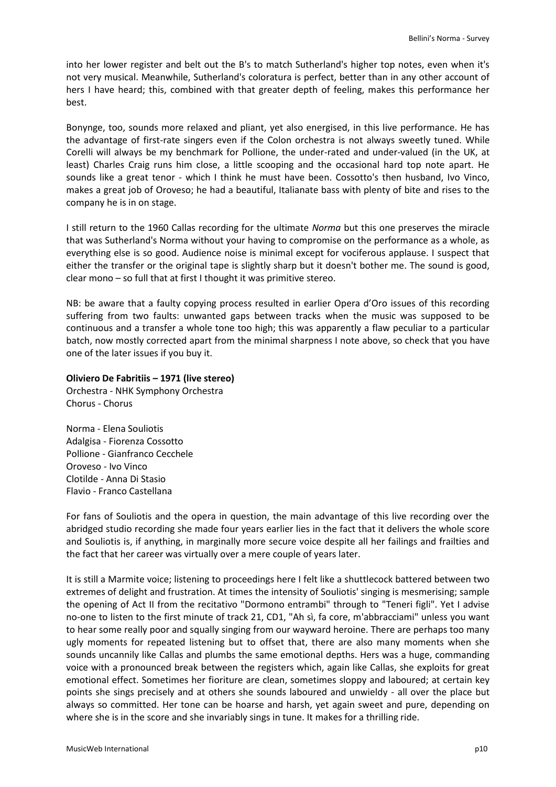into her lower register and belt out the B's to match Sutherland's higher top notes, even when it's not very musical. Meanwhile, Sutherland's coloratura is perfect, better than in any other account of hers I have heard; this, combined with that greater depth of feeling, makes this performance her best.

Bonynge, too, sounds more relaxed and pliant, yet also energised, in this live performance. He has the advantage of first-rate singers even if the Colon orchestra is not always sweetly tuned. While Corelli will always be my benchmark for Pollione, the under-rated and under-valued (in the UK, at least) Charles Craig runs him close, a little scooping and the occasional hard top note apart. He sounds like a great tenor - which I think he must have been. Cossotto's then husband, Ivo Vinco, makes a great job of Oroveso; he had a beautiful, Italianate bass with plenty of bite and rises to the company he is in on stage.

I still return to the 1960 Callas recording for the ultimate *Norma* but this one preserves the miracle that was Sutherland's Norma without your having to compromise on the performance as a whole, as everything else is so good. Audience noise is minimal except for vociferous applause. I suspect that either the transfer or the original tape is slightly sharp but it doesn't bother me. The sound is good, clear mono – so full that at first I thought it was primitive stereo.

NB: be aware that a faulty copying process resulted in earlier Opera d'Oro issues of this recording suffering from two faults: unwanted gaps between tracks when the music was supposed to be continuous and a transfer a whole tone too high; this was apparently a flaw peculiar to a particular batch, now mostly corrected apart from the minimal sharpness I note above, so check that you have one of the later issues if you buy it.

## **Oliviero De Fabritiis – 1971 (live stereo)**

Orchestra - NHK Symphony Orchestra Chorus - Chorus

Norma - Elena Souliotis Adalgisa - Fiorenza Cossotto Pollione - Gianfranco Cecchele Oroveso - Ivo Vinco Clotilde - Anna Di Stasio Flavio - Franco Castellana

For fans of Souliotis and the opera in question, the main advantage of this live recording over the abridged studio recording she made four years earlier lies in the fact that it delivers the whole score and Souliotis is, if anything, in marginally more secure voice despite all her failings and frailties and the fact that her career was virtually over a mere couple of years later.

It is still a Marmite voice; listening to proceedings here I felt like a shuttlecock battered between two extremes of delight and frustration. At times the intensity of Souliotis' singing is mesmerising; sample the opening of Act II from the recitativo "Dormono entrambi" through to "Teneri figli". Yet I advise no-one to listen to the first minute of track 21, CD1, "Ah sì, fa core, m'abbracciami" unless you want to hear some really poor and squally singing from our wayward heroine. There are perhaps too many ugly moments for repeated listening but to offset that, there are also many moments when she sounds uncannily like Callas and plumbs the same emotional depths. Hers was a huge, commanding voice with a pronounced break between the registers which, again like Callas, she exploits for great emotional effect. Sometimes her fioriture are clean, sometimes sloppy and laboured; at certain key points she sings precisely and at others she sounds laboured and unwieldy - all over the place but always so committed. Her tone can be hoarse and harsh, yet again sweet and pure, depending on where she is in the score and she invariably sings in tune. It makes for a thrilling ride.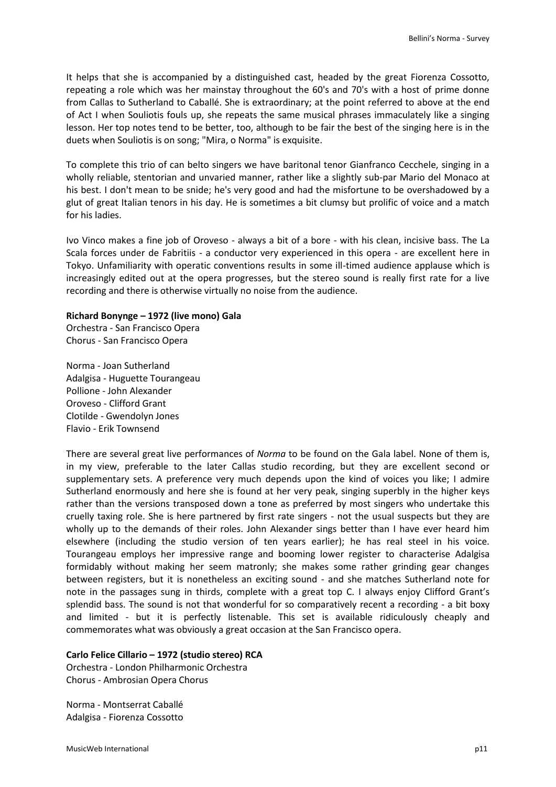It helps that she is accompanied by a distinguished cast, headed by the great Fiorenza Cossotto, repeating a role which was her mainstay throughout the 60's and 70's with a host of prime donne from Callas to Sutherland to Caballé. She is extraordinary; at the point referred to above at the end of Act I when Souliotis fouls up, she repeats the same musical phrases immaculately like a singing lesson. Her top notes tend to be better, too, although to be fair the best of the singing here is in the duets when Souliotis is on song; "Mira, o Norma" is exquisite.

To complete this trio of can belto singers we have baritonal tenor Gianfranco Cecchele, singing in a wholly reliable, stentorian and unvaried manner, rather like a slightly sub-par Mario del Monaco at his best. I don't mean to be snide; he's very good and had the misfortune to be overshadowed by a glut of great Italian tenors in his day. He is sometimes a bit clumsy but prolific of voice and a match for his ladies.

Ivo Vinco makes a fine job of Oroveso - always a bit of a bore - with his clean, incisive bass. The La Scala forces under de Fabritiis - a conductor very experienced in this opera - are excellent here in Tokyo. Unfamiliarity with operatic conventions results in some ill-timed audience applause which is increasingly edited out at the opera progresses, but the stereo sound is really first rate for a live recording and there is otherwise virtually no noise from the audience.

#### **Richard Bonynge – 1972 (live mono) Gala**

Orchestra - San Francisco Opera Chorus - San Francisco Opera

Norma - Joan Sutherland Adalgisa - Huguette Tourangeau Pollione - John Alexander Oroveso - Clifford Grant Clotilde - Gwendolyn Jones Flavio - Erik Townsend

There are several great live performances of *Norma* to be found on the Gala label. None of them is, in my view, preferable to the later Callas studio recording, but they are excellent second or supplementary sets. A preference very much depends upon the kind of voices you like; I admire Sutherland enormously and here she is found at her very peak, singing superbly in the higher keys rather than the versions transposed down a tone as preferred by most singers who undertake this cruelly taxing role. She is here partnered by first rate singers - not the usual suspects but they are wholly up to the demands of their roles. John Alexander sings better than I have ever heard him elsewhere (including the studio version of ten years earlier); he has real steel in his voice. Tourangeau employs her impressive range and booming lower register to characterise Adalgisa formidably without making her seem matronly; she makes some rather grinding gear changes between registers, but it is nonetheless an exciting sound - and she matches Sutherland note for note in the passages sung in thirds, complete with a great top C. I always enjoy Clifford Grant's splendid bass. The sound is not that wonderful for so comparatively recent a recording - a bit boxy and limited - but it is perfectly listenable. This set is available ridiculously cheaply and commemorates what was obviously a great occasion at the San Francisco opera.

#### **Carlo Felice Cillario – 1972 (studio stereo) RCA**

Orchestra - London Philharmonic Orchestra Chorus - Ambrosian Opera Chorus

Norma - Montserrat Caballé Adalgisa - Fiorenza Cossotto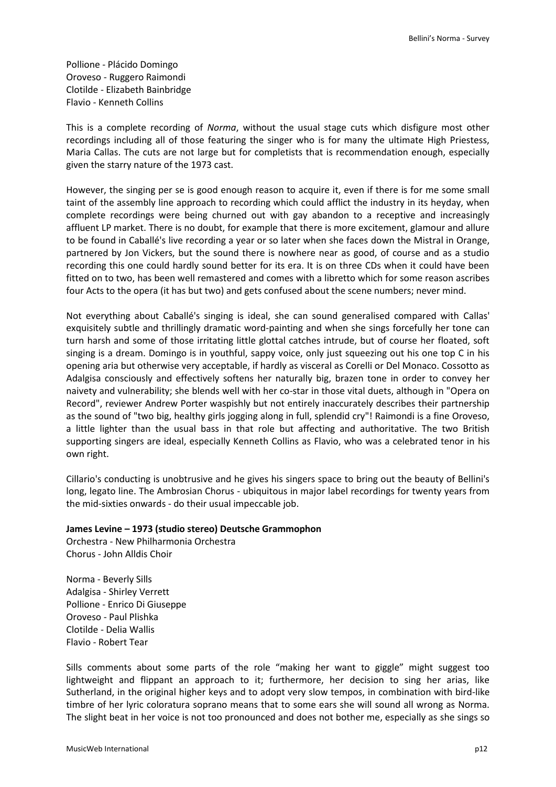Pollione - Plácido Domingo Oroveso - Ruggero Raimondi Clotilde - Elizabeth Bainbridge Flavio - Kenneth Collins

This is a complete recording of *Norma*, without the usual stage cuts which disfigure most other recordings including all of those featuring the singer who is for many the ultimate High Priestess, Maria Callas. The cuts are not large but for completists that is recommendation enough, especially given the starry nature of the 1973 cast.

However, the singing per se is good enough reason to acquire it, even if there is for me some small taint of the assembly line approach to recording which could afflict the industry in its heyday, when complete recordings were being churned out with gay abandon to a receptive and increasingly affluent LP market. There is no doubt, for example that there is more excitement, glamour and allure to be found in Caballé's live recording a year or so later when she faces down the Mistral in Orange, partnered by Jon Vickers, but the sound there is nowhere near as good, of course and as a studio recording this one could hardly sound better for its era. It is on three CDs when it could have been fitted on to two, has been well remastered and comes with a libretto which for some reason ascribes four Acts to the opera (it has but two) and gets confused about the scene numbers; never mind.

Not everything about Caballé's singing is ideal, she can sound generalised compared with Callas' exquisitely subtle and thrillingly dramatic word-painting and when she sings forcefully her tone can turn harsh and some of those irritating little glottal catches intrude, but of course her floated, soft singing is a dream. Domingo is in youthful, sappy voice, only just squeezing out his one top C in his opening aria but otherwise very acceptable, if hardly as visceral as Corelli or Del Monaco. Cossotto as Adalgisa consciously and effectively softens her naturally big, brazen tone in order to convey her naivety and vulnerability; she blends well with her co-star in those vital duets, although in "Opera on Record", reviewer Andrew Porter waspishly but not entirely inaccurately describes their partnership as the sound of "two big, healthy girls jogging along in full, splendid cry"! Raimondi is a fine Oroveso, a little lighter than the usual bass in that role but affecting and authoritative. The two British supporting singers are ideal, especially Kenneth Collins as Flavio, who was a celebrated tenor in his own right.

Cillario's conducting is unobtrusive and he gives his singers space to bring out the beauty of Bellini's long, legato line. The Ambrosian Chorus - ubiquitous in major label recordings for twenty years from the mid-sixties onwards - do their usual impeccable job.

## **James Levine – 1973 (studio stereo) Deutsche Grammophon**

Orchestra - New Philharmonia Orchestra Chorus - John Alldis Choir

Norma - Beverly Sills Adalgisa - Shirley Verrett Pollione - Enrico Di Giuseppe Oroveso - Paul Plishka Clotilde - Delia Wallis Flavio - Robert Tear

Sills comments about some parts of the role "making her want to giggle" might suggest too lightweight and flippant an approach to it; furthermore, her decision to sing her arias, like Sutherland, in the original higher keys and to adopt very slow tempos, in combination with bird-like timbre of her lyric coloratura soprano means that to some ears she will sound all wrong as Norma. The slight beat in her voice is not too pronounced and does not bother me, especially as she sings so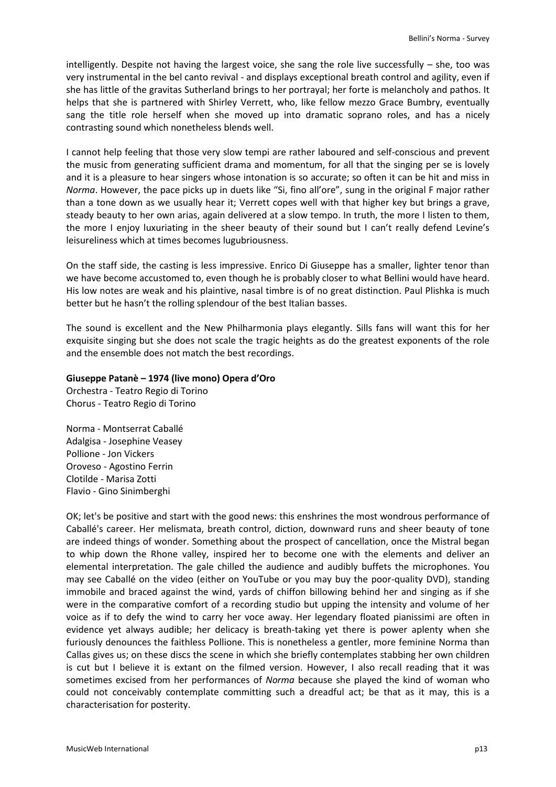intelligently. Despite not having the largest voice, she sang the role live successfully – she, too was very instrumental in the bel canto revival - and displays exceptional breath control and agility, even if she has little of the gravitas Sutherland brings to her portrayal; her forte is melancholy and pathos. It helps that she is partnered with Shirley Verrett, who, like fellow mezzo Grace Bumbry, eventually sang the title role herself when she moved up into dramatic soprano roles, and has a nicely contrasting sound which nonetheless blends well.

I cannot help feeling that those very slow tempi are rather laboured and self-conscious and prevent the music from generating sufficient drama and momentum, for all that the singing per se is lovely and it is a pleasure to hear singers whose intonation is so accurate; so often it can be hit and miss in *Norma*. However, the pace picks up in duets like "Si, fino all'ore", sung in the original F major rather than a tone down as we usually hear it; Verrett copes well with that higher key but brings a grave, steady beauty to her own arias, again delivered at a slow tempo. In truth, the more I listen to them, the more I enjoy luxuriating in the sheer beauty of their sound but I can't really defend Levine's leisureliness which at times becomes lugubriousness.

On the staff side, the casting is less impressive. Enrico Di Giuseppe has a smaller, lighter tenor than we have become accustomed to, even though he is probably closer to what Bellini would have heard. His low notes are weak and his plaintive, nasal timbre is of no great distinction. Paul Plishka is much better but he hasn't the rolling splendour of the best Italian basses.

The sound is excellent and the New Philharmonia plays elegantly. Sills fans will want this for her exquisite singing but she does not scale the tragic heights as do the greatest exponents of the role and the ensemble does not match the best recordings.

## **Giuseppe Patanè – 1974 (live mono) Opera d'Oro**

Orchestra - Teatro Regio di Torino Chorus - Teatro Regio di Torino

Norma - Montserrat Caballé Adalgisa - Josephine Veasey Pollione - Jon Vickers Oroveso - Agostino Ferrin Clotilde - Marisa Zotti Flavio - Gino Sinimberghi

OK; let's be positive and start with the good news: this enshrines the most wondrous performance of Caballé's career. Her melismata, breath control, diction, downward runs and sheer beauty of tone are indeed things of wonder. Something about the prospect of cancellation, once the Mistral began to whip down the Rhone valley, inspired her to become one with the elements and deliver an elemental interpretation. The gale chilled the audience and audibly buffets the microphones. You may see Caballé on the video (either on YouTube or you may buy the poor-quality DVD), standing immobile and braced against the wind, yards of chiffon billowing behind her and singing as if she were in the comparative comfort of a recording studio but upping the intensity and volume of her voice as if to defy the wind to carry her voce away. Her legendary floated pianissimi are often in evidence yet always audible; her delicacy is breath-taking yet there is power aplenty when she furiously denounces the faithless Pollione. This is nonetheless a gentler, more feminine Norma than Callas gives us; on these discs the scene in which she briefly contemplates stabbing her own children is cut but I believe it is extant on the filmed version. However, I also recall reading that it was sometimes excised from her performances of *Norma* because she played the kind of woman who could not conceivably contemplate committing such a dreadful act; be that as it may, this is a characterisation for posterity.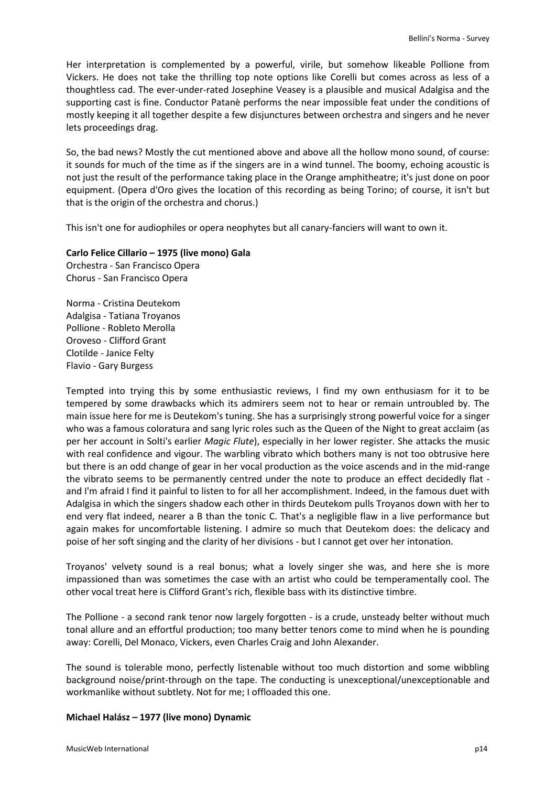Her interpretation is complemented by a powerful, virile, but somehow likeable Pollione from Vickers. He does not take the thrilling top note options like Corelli but comes across as less of a thoughtless cad. The ever-under-rated Josephine Veasey is a plausible and musical Adalgisa and the supporting cast is fine. Conductor Patanè performs the near impossible feat under the conditions of mostly keeping it all together despite a few disjunctures between orchestra and singers and he never lets proceedings drag.

So, the bad news? Mostly the cut mentioned above and above all the hollow mono sound, of course: it sounds for much of the time as if the singers are in a wind tunnel. The boomy, echoing acoustic is not just the result of the performance taking place in the Orange amphitheatre; it's just done on poor equipment. (Opera d'Oro gives the location of this recording as being Torino; of course, it isn't but that is the origin of the orchestra and chorus.)

This isn't one for audiophiles or opera neophytes but all canary-fanciers will want to own it.

# **Carlo Felice Cillario – 1975 (live mono) Gala**

Orchestra - San Francisco Opera Chorus - San Francisco Opera

Norma - Cristina Deutekom Adalgisa - Tatiana Troyanos Pollione - Robleto Merolla Oroveso - Clifford Grant Clotilde - Janice Felty Flavio - Gary Burgess

Tempted into trying this by some enthusiastic reviews, I find my own enthusiasm for it to be tempered by some drawbacks which its admirers seem not to hear or remain untroubled by. The main issue here for me is Deutekom's tuning. She has a surprisingly strong powerful voice for a singer who was a famous coloratura and sang lyric roles such as the Queen of the Night to great acclaim (as per her account in Solti's earlier *Magic Flute*), especially in her lower register. She attacks the music with real confidence and vigour. The warbling vibrato which bothers many is not too obtrusive here but there is an odd change of gear in her vocal production as the voice ascends and in the mid-range the vibrato seems to be permanently centred under the note to produce an effect decidedly flat and I'm afraid I find it painful to listen to for all her accomplishment. Indeed, in the famous duet with Adalgisa in which the singers shadow each other in thirds Deutekom pulls Troyanos down with her to end very flat indeed, nearer a B than the tonic C. That's a negligible flaw in a live performance but again makes for uncomfortable listening. I admire so much that Deutekom does: the delicacy and poise of her soft singing and the clarity of her divisions - but I cannot get over her intonation.

Troyanos' velvety sound is a real bonus; what a lovely singer she was, and here she is more impassioned than was sometimes the case with an artist who could be temperamentally cool. The other vocal treat here is Clifford Grant's rich, flexible bass with its distinctive timbre.

The Pollione - a second rank tenor now largely forgotten - is a crude, unsteady belter without much tonal allure and an effortful production; too many better tenors come to mind when he is pounding away: Corelli, Del Monaco, Vickers, even Charles Craig and John Alexander.

The sound is tolerable mono, perfectly listenable without too much distortion and some wibbling background noise/print-through on the tape. The conducting is unexceptional/unexceptionable and workmanlike without subtlety. Not for me; I offloaded this one.

## **Michael Halász – 1977 (live mono) Dynamic**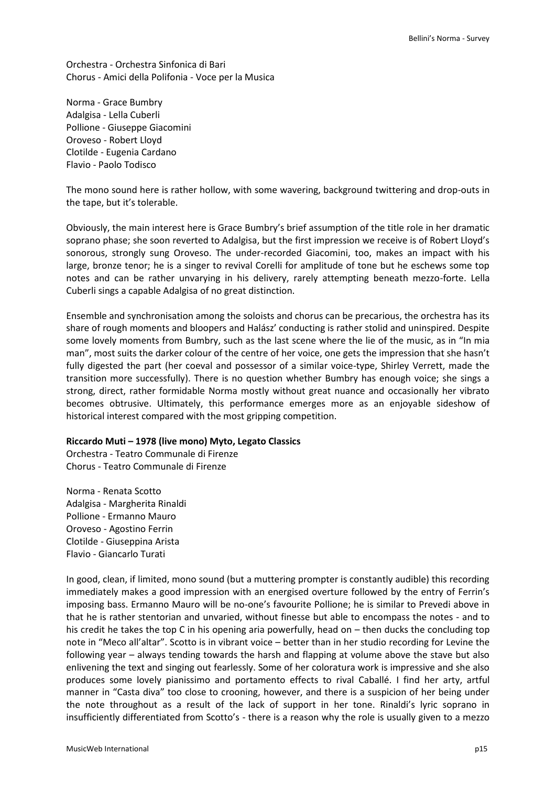Orchestra - Orchestra Sinfonica di Bari Chorus - Amici della Polifonia - Voce per la Musica

Norma - Grace Bumbry Adalgisa - Lella Cuberli Pollione - Giuseppe Giacomini Oroveso - Robert Lloyd Clotilde - Eugenia Cardano Flavio - Paolo Todisco

The mono sound here is rather hollow, with some wavering, background twittering and drop-outs in the tape, but it's tolerable.

Obviously, the main interest here is Grace Bumbry's brief assumption of the title role in her dramatic soprano phase; she soon reverted to Adalgisa, but the first impression we receive is of Robert Lloyd's sonorous, strongly sung Oroveso. The under-recorded Giacomini, too, makes an impact with his large, bronze tenor; he is a singer to revival Corelli for amplitude of tone but he eschews some top notes and can be rather unvarying in his delivery, rarely attempting beneath mezzo-forte. Lella Cuberli sings a capable Adalgisa of no great distinction.

Ensemble and synchronisation among the soloists and chorus can be precarious, the orchestra has its share of rough moments and bloopers and Halász' conducting is rather stolid and uninspired. Despite some lovely moments from Bumbry, such as the last scene where the lie of the music, as in "In mia man", most suits the darker colour of the centre of her voice, one gets the impression that she hasn't fully digested the part (her coeval and possessor of a similar voice-type, Shirley Verrett, made the transition more successfully). There is no question whether Bumbry has enough voice; she sings a strong, direct, rather formidable Norma mostly without great nuance and occasionally her vibrato becomes obtrusive. Ultimately, this performance emerges more as an enjoyable sideshow of historical interest compared with the most gripping competition.

## **Riccardo Muti – 1978 (live mono) Myto, Legato Classics**

Orchestra - Teatro Communale di Firenze Chorus - Teatro Communale di Firenze

Norma - Renata Scotto Adalgisa - Margherita Rinaldi Pollione - Ermanno Mauro Oroveso - Agostino Ferrin Clotilde - Giuseppina Arista Flavio - Giancarlo Turati

In good, clean, if limited, mono sound (but a muttering prompter is constantly audible) this recording immediately makes a good impression with an energised overture followed by the entry of Ferrin's imposing bass. Ermanno Mauro will be no-one's favourite Pollione; he is similar to Prevedi above in that he is rather stentorian and unvaried, without finesse but able to encompass the notes - and to his credit he takes the top C in his opening aria powerfully, head on – then ducks the concluding top note in "Meco all'altar". Scotto is in vibrant voice – better than in her studio recording for Levine the following year – always tending towards the harsh and flapping at volume above the stave but also enlivening the text and singing out fearlessly. Some of her coloratura work is impressive and she also produces some lovely pianissimo and portamento effects to rival Caballé. I find her arty, artful manner in "Casta diva" too close to crooning, however, and there is a suspicion of her being under the note throughout as a result of the lack of support in her tone. Rinaldi's lyric soprano in insufficiently differentiated from Scotto's - there is a reason why the role is usually given to a mezzo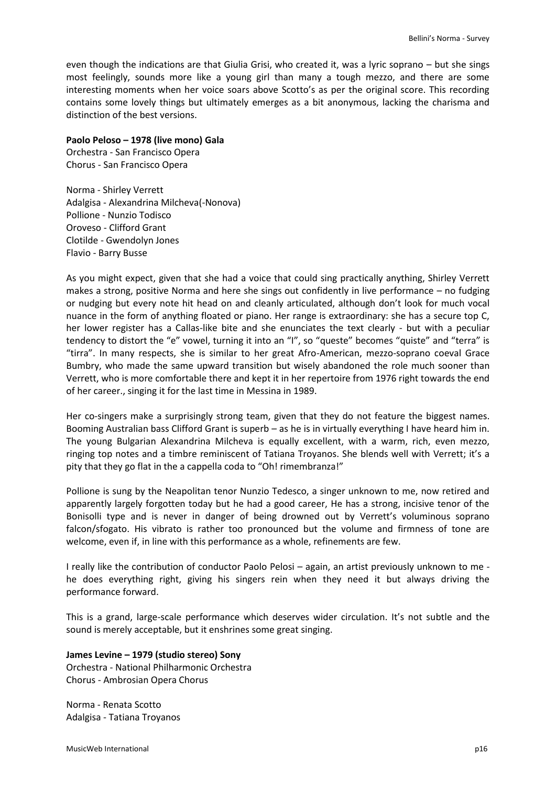even though the indications are that Giulia Grisi, who created it, was a lyric soprano – but she sings most feelingly, sounds more like a young girl than many a tough mezzo, and there are some interesting moments when her voice soars above Scotto's as per the original score. This recording contains some lovely things but ultimately emerges as a bit anonymous, lacking the charisma and distinction of the best versions.

## **Paolo Peloso – 1978 (live mono) Gala**

Orchestra - San Francisco Opera Chorus - San Francisco Opera

Norma - Shirley Verrett Adalgisa - Alexandrina Milcheva(-Nonova) Pollione - Nunzio Todisco Oroveso - Clifford Grant Clotilde - Gwendolyn Jones Flavio - Barry Busse

As you might expect, given that she had a voice that could sing practically anything, Shirley Verrett makes a strong, positive Norma and here she sings out confidently in live performance – no fudging or nudging but every note hit head on and cleanly articulated, although don't look for much vocal nuance in the form of anything floated or piano. Her range is extraordinary: she has a secure top C, her lower register has a Callas-like bite and she enunciates the text clearly - but with a peculiar tendency to distort the "e" vowel, turning it into an "I", so "queste" becomes "quiste" and "terra" is "tirra". In many respects, she is similar to her great Afro-American, mezzo-soprano coeval Grace Bumbry, who made the same upward transition but wisely abandoned the role much sooner than Verrett, who is more comfortable there and kept it in her repertoire from 1976 right towards the end of her career., singing it for the last time in Messina in 1989.

Her co-singers make a surprisingly strong team, given that they do not feature the biggest names. Booming Australian bass Clifford Grant is superb – as he is in virtually everything I have heard him in. The young Bulgarian Alexandrina Milcheva is equally excellent, with a warm, rich, even mezzo, ringing top notes and a timbre reminiscent of Tatiana Troyanos. She blends well with Verrett; it's a pity that they go flat in the a cappella coda to "Oh! rimembranza!"

Pollione is sung by the Neapolitan tenor Nunzio Tedesco, a singer unknown to me, now retired and apparently largely forgotten today but he had a good career, He has a strong, incisive tenor of the Bonisolli type and is never in danger of being drowned out by Verrett's voluminous soprano falcon/sfogato. His vibrato is rather too pronounced but the volume and firmness of tone are welcome, even if, in line with this performance as a whole, refinements are few.

I really like the contribution of conductor Paolo Pelosi – again, an artist previously unknown to me he does everything right, giving his singers rein when they need it but always driving the performance forward.

This is a grand, large-scale performance which deserves wider circulation. It's not subtle and the sound is merely acceptable, but it enshrines some great singing.

## **James Levine – 1979 (studio stereo) Sony**

Orchestra - National Philharmonic Orchestra Chorus - Ambrosian Opera Chorus

Norma - Renata Scotto Adalgisa - Tatiana Troyanos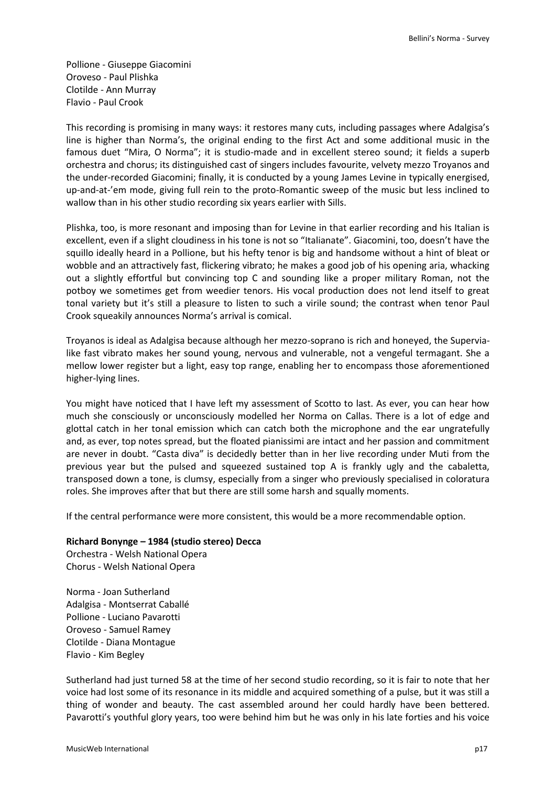Pollione - Giuseppe Giacomini Oroveso - Paul Plishka Clotilde - Ann Murray Flavio - Paul Crook

This recording is promising in many ways: it restores many cuts, including passages where Adalgisa's line is higher than Norma's, the original ending to the first Act and some additional music in the famous duet "Mira, O Norma"; it is studio-made and in excellent stereo sound; it fields a superb orchestra and chorus; its distinguished cast of singers includes favourite, velvety mezzo Troyanos and the under-recorded Giacomini; finally, it is conducted by a young James Levine in typically energised, up-and-at-'em mode, giving full rein to the proto-Romantic sweep of the music but less inclined to wallow than in his other studio recording six years earlier with Sills.

Plishka, too, is more resonant and imposing than for Levine in that earlier recording and his Italian is excellent, even if a slight cloudiness in his tone is not so "Italianate". Giacomini, too, doesn't have the squillo ideally heard in a Pollione, but his hefty tenor is big and handsome without a hint of bleat or wobble and an attractively fast, flickering vibrato; he makes a good job of his opening aria, whacking out a slightly effortful but convincing top C and sounding like a proper military Roman, not the potboy we sometimes get from weedier tenors. His vocal production does not lend itself to great tonal variety but it's still a pleasure to listen to such a virile sound; the contrast when tenor Paul Crook squeakily announces Norma's arrival is comical.

Troyanos is ideal as Adalgisa because although her mezzo-soprano is rich and honeyed, the Supervialike fast vibrato makes her sound young, nervous and vulnerable, not a vengeful termagant. She a mellow lower register but a light, easy top range, enabling her to encompass those aforementioned higher-lying lines.

You might have noticed that I have left my assessment of Scotto to last. As ever, you can hear how much she consciously or unconsciously modelled her Norma on Callas. There is a lot of edge and glottal catch in her tonal emission which can catch both the microphone and the ear ungratefully and, as ever, top notes spread, but the floated pianissimi are intact and her passion and commitment are never in doubt. "Casta diva" is decidedly better than in her live recording under Muti from the previous year but the pulsed and squeezed sustained top A is frankly ugly and the cabaletta, transposed down a tone, is clumsy, especially from a singer who previously specialised in coloratura roles. She improves after that but there are still some harsh and squally moments.

If the central performance were more consistent, this would be a more recommendable option.

## **Richard Bonynge – 1984 (studio stereo) Decca**

Orchestra - Welsh National Opera Chorus - Welsh National Opera

Norma - Joan Sutherland Adalgisa - Montserrat Caballé Pollione - Luciano Pavarotti Oroveso - Samuel Ramey Clotilde - Diana Montague Flavio - Kim Begley

Sutherland had just turned 58 at the time of her second studio recording, so it is fair to note that her voice had lost some of its resonance in its middle and acquired something of a pulse, but it was still a thing of wonder and beauty. The cast assembled around her could hardly have been bettered. Pavarotti's youthful glory years, too were behind him but he was only in his late forties and his voice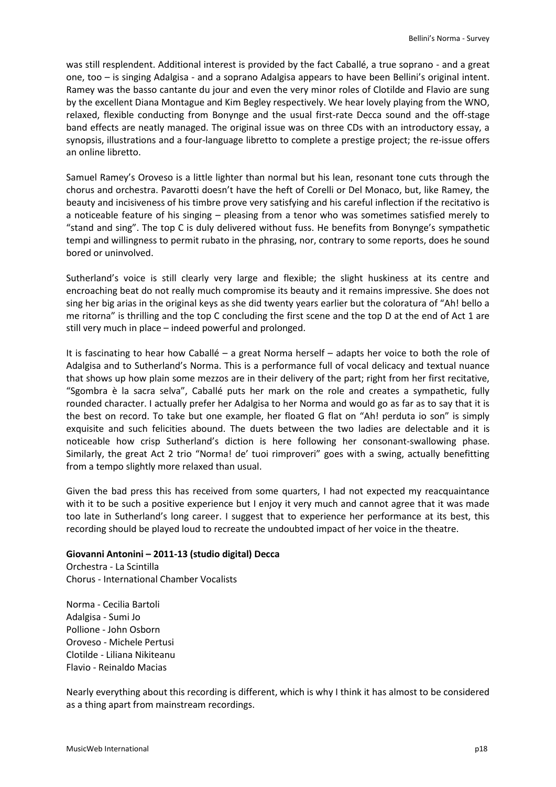was still resplendent. Additional interest is provided by the fact Caballé, a true soprano - and a great one, too – is singing Adalgisa - and a soprano Adalgisa appears to have been Bellini's original intent. Ramey was the basso cantante du jour and even the very minor roles of Clotilde and Flavio are sung by the excellent Diana Montague and Kim Begley respectively. We hear lovely playing from the WNO, relaxed, flexible conducting from Bonynge and the usual first-rate Decca sound and the off-stage band effects are neatly managed. The original issue was on three CDs with an introductory essay, a synopsis, illustrations and a four-language libretto to complete a prestige project; the re-issue offers an online libretto.

Samuel Ramey's Oroveso is a little lighter than normal but his lean, resonant tone cuts through the chorus and orchestra. Pavarotti doesn't have the heft of Corelli or Del Monaco, but, like Ramey, the beauty and incisiveness of his timbre prove very satisfying and his careful inflection if the recitativo is a noticeable feature of his singing – pleasing from a tenor who was sometimes satisfied merely to "stand and sing". The top C is duly delivered without fuss. He benefits from Bonynge's sympathetic tempi and willingness to permit rubato in the phrasing, nor, contrary to some reports, does he sound bored or uninvolved.

Sutherland's voice is still clearly very large and flexible; the slight huskiness at its centre and encroaching beat do not really much compromise its beauty and it remains impressive. She does not sing her big arias in the original keys as she did twenty years earlier but the coloratura of "Ah! bello a me ritorna" is thrilling and the top C concluding the first scene and the top D at the end of Act 1 are still very much in place – indeed powerful and prolonged.

It is fascinating to hear how Caballé – a great Norma herself – adapts her voice to both the role of Adalgisa and to Sutherland's Norma. This is a performance full of vocal delicacy and textual nuance that shows up how plain some mezzos are in their delivery of the part; right from her first recitative, "Sgombra è la sacra selva", Caballé puts her mark on the role and creates a sympathetic, fully rounded character. I actually prefer her Adalgisa to her Norma and would go as far as to say that it is the best on record. To take but one example, her floated G flat on "Ah! perduta io son" is simply exquisite and such felicities abound. The duets between the two ladies are delectable and it is noticeable how crisp Sutherland's diction is here following her consonant-swallowing phase. Similarly, the great Act 2 trio "Norma! de' tuoi rimproveri" goes with a swing, actually benefitting from a tempo slightly more relaxed than usual.

Given the bad press this has received from some quarters, I had not expected my reacquaintance with it to be such a positive experience but I enjoy it very much and cannot agree that it was made too late in Sutherland's long career. I suggest that to experience her performance at its best, this recording should be played loud to recreate the undoubted impact of her voice in the theatre.

## **Giovanni Antonini – 2011-13 (studio digital) Decca**

Orchestra - La Scintilla Chorus - International Chamber Vocalists

Norma - Cecilia Bartoli Adalgisa - Sumi Jo Pollione - John Osborn Oroveso - Michele Pertusi Clotilde - Liliana Nikiteanu Flavio - Reinaldo Macias

Nearly everything about this recording is different, which is why I think it has almost to be considered as a thing apart from mainstream recordings.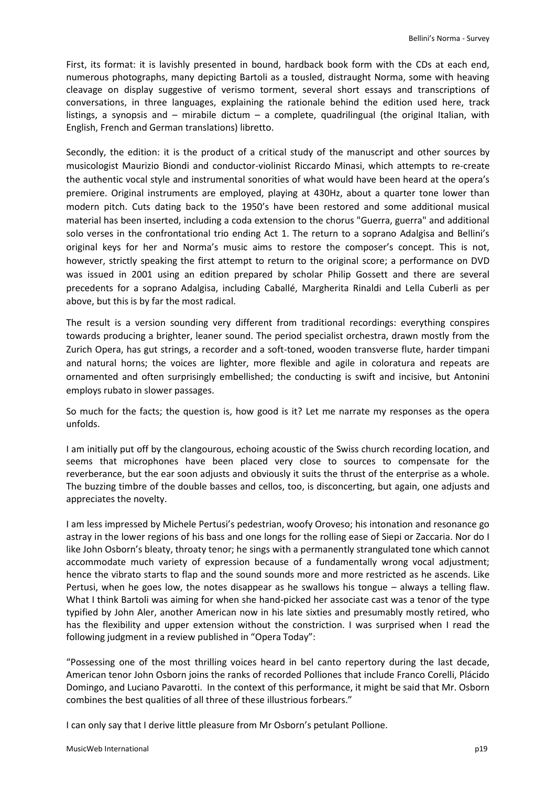First, its format: it is lavishly presented in bound, hardback book form with the CDs at each end, numerous photographs, many depicting Bartoli as a tousled, distraught Norma, some with heaving cleavage on display suggestive of verismo torment, several short essays and transcriptions of conversations, in three languages, explaining the rationale behind the edition used here, track listings, a synopsis and – mirabile dictum – a complete, quadrilingual (the original Italian, with English, French and German translations) libretto.

Secondly, the edition: it is the product of a critical study of the manuscript and other sources by musicologist Maurizio Biondi and conductor-violinist Riccardo Minasi, which attempts to re-create the authentic vocal style and instrumental sonorities of what would have been heard at the opera's premiere. Original instruments are employed, playing at 430Hz, about a quarter tone lower than modern pitch. Cuts dating back to the 1950's have been restored and some additional musical material has been inserted, including a coda extension to the chorus "Guerra, guerra" and additional solo verses in the confrontational trio ending Act 1. The return to a soprano Adalgisa and Bellini's original keys for her and Norma's music aims to restore the composer's concept. This is not, however, strictly speaking the first attempt to return to the original score; a performance on DVD was issued in 2001 using an edition prepared by scholar Philip Gossett and there are several precedents for a soprano Adalgisa, including Caballé, Margherita Rinaldi and Lella Cuberli as per above, but this is by far the most radical.

The result is a version sounding very different from traditional recordings: everything conspires towards producing a brighter, leaner sound. The period specialist orchestra, drawn mostly from the Zurich Opera, has gut strings, a recorder and a soft-toned, wooden transverse flute, harder timpani and natural horns; the voices are lighter, more flexible and agile in coloratura and repeats are ornamented and often surprisingly embellished; the conducting is swift and incisive, but Antonini employs rubato in slower passages.

So much for the facts; the question is, how good is it? Let me narrate my responses as the opera unfolds.

I am initially put off by the clangourous, echoing acoustic of the Swiss church recording location, and seems that microphones have been placed very close to sources to compensate for the reverberance, but the ear soon adjusts and obviously it suits the thrust of the enterprise as a whole. The buzzing timbre of the double basses and cellos, too, is disconcerting, but again, one adjusts and appreciates the novelty.

I am less impressed by Michele Pertusi's pedestrian, woofy Oroveso; his intonation and resonance go astray in the lower regions of his bass and one longs for the rolling ease of Siepi or Zaccaria. Nor do I like John Osborn's bleaty, throaty tenor; he sings with a permanently strangulated tone which cannot accommodate much variety of expression because of a fundamentally wrong vocal adjustment; hence the vibrato starts to flap and the sound sounds more and more restricted as he ascends. Like Pertusi, when he goes low, the notes disappear as he swallows his tongue – always a telling flaw. What I think Bartoli was aiming for when she hand-picked her associate cast was a tenor of the type typified by John Aler, another American now in his late sixties and presumably mostly retired, who has the flexibility and upper extension without the constriction. I was surprised when I read the following judgment in a review published in "Opera Today":

"Possessing one of the most thrilling voices heard in bel canto repertory during the last decade, American tenor John Osborn joins the ranks of recorded Polliones that include Franco Corelli, Plácido Domingo, and Luciano Pavarotti. In the context of this performance, it might be said that Mr. Osborn combines the best qualities of all three of these illustrious forbears."

I can only say that I derive little pleasure from Mr Osborn's petulant Pollione.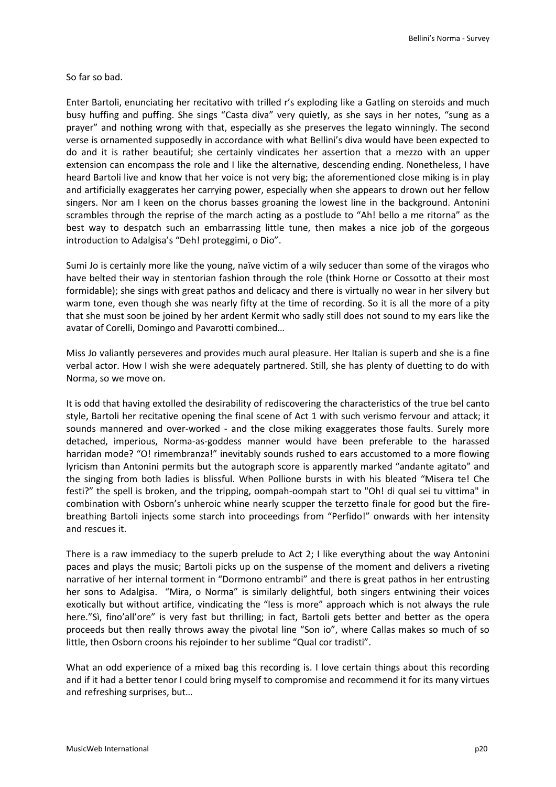So far so bad.

Enter Bartoli, enunciating her recitativo with trilled r's exploding like a Gatling on steroids and much busy huffing and puffing. She sings "Casta diva" very quietly, as she says in her notes, "sung as a prayer" and nothing wrong with that, especially as she preserves the legato winningly. The second verse is ornamented supposedly in accordance with what Bellini's diva would have been expected to do and it is rather beautiful; she certainly vindicates her assertion that a mezzo with an upper extension can encompass the role and I like the alternative, descending ending. Nonetheless, I have heard Bartoli live and know that her voice is not very big; the aforementioned close miking is in play and artificially exaggerates her carrying power, especially when she appears to drown out her fellow singers. Nor am I keen on the chorus basses groaning the lowest line in the background. Antonini scrambles through the reprise of the march acting as a postlude to "Ah! bello a me ritorna" as the best way to despatch such an embarrassing little tune, then makes a nice job of the gorgeous introduction to Adalgisa's "Deh! proteggimi, o Dio".

Sumi Jo is certainly more like the young, naïve victim of a wily seducer than some of the viragos who have belted their way in stentorian fashion through the role (think Horne or Cossotto at their most formidable); she sings with great pathos and delicacy and there is virtually no wear in her silvery but warm tone, even though she was nearly fifty at the time of recording. So it is all the more of a pity that she must soon be joined by her ardent Kermit who sadly still does not sound to my ears like the avatar of Corelli, Domingo and Pavarotti combined…

Miss Jo valiantly perseveres and provides much aural pleasure. Her Italian is superb and she is a fine verbal actor. How I wish she were adequately partnered. Still, she has plenty of duetting to do with Norma, so we move on.

It is odd that having extolled the desirability of rediscovering the characteristics of the true bel canto style, Bartoli her recitative opening the final scene of Act 1 with such verismo fervour and attack; it sounds mannered and over-worked - and the close miking exaggerates those faults. Surely more detached, imperious, Norma-as-goddess manner would have been preferable to the harassed harridan mode? "O! rimembranza!" inevitably sounds rushed to ears accustomed to a more flowing lyricism than Antonini permits but the autograph score is apparently marked "andante agitato" and the singing from both ladies is blissful. When Pollione bursts in with his bleated "Misera te! Che festi?" the spell is broken, and the tripping, oompah-oompah start to "Oh! di qual sei tu vittima" in combination with Osborn's unheroic whine nearly scupper the terzetto finale for good but the firebreathing Bartoli injects some starch into proceedings from "Perfido!" onwards with her intensity and rescues it.

There is a raw immediacy to the superb prelude to Act 2; I like everything about the way Antonini paces and plays the music; Bartoli picks up on the suspense of the moment and delivers a riveting narrative of her internal torment in "Dormono entrambi" and there is great pathos in her entrusting her sons to Adalgisa. "Mira, o Norma" is similarly delightful, both singers entwining their voices exotically but without artifice, vindicating the "less is more" approach which is not always the rule here."Sì, fino'all'ore" is very fast but thrilling; in fact, Bartoli gets better and better as the opera proceeds but then really throws away the pivotal line "Son io", where Callas makes so much of so little, then Osborn croons his rejoinder to her sublime "Qual cor tradisti".

What an odd experience of a mixed bag this recording is. I love certain things about this recording and if it had a better tenor I could bring myself to compromise and recommend it for its many virtues and refreshing surprises, but…